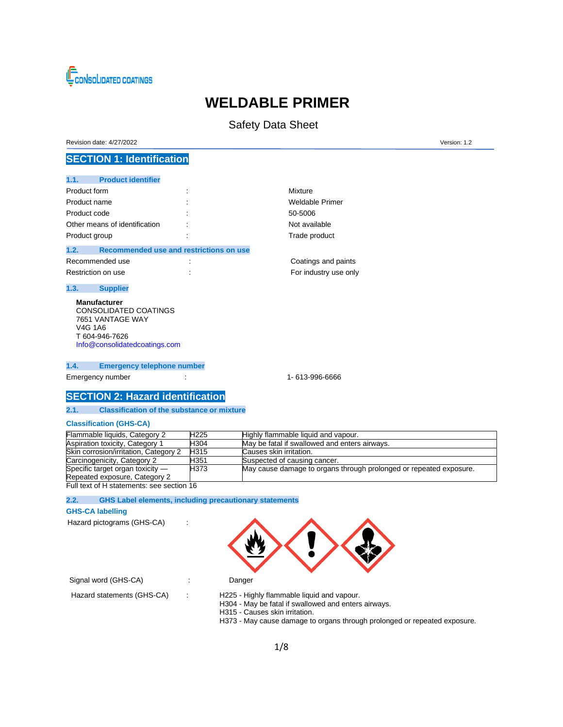

# **WELDABLE PRIMER**

# Safety Data Sheet

Revision date: 4/27/2022 Version: 1.2

## **SECTION 1: Identification**

| <b>Product identifier</b><br>1.1. |                                         |                       |
|-----------------------------------|-----------------------------------------|-----------------------|
| Product form                      |                                         | Mixture               |
| Product name                      |                                         | Weldable Primer       |
| Product code                      | ٠                                       | 50-5006               |
| Other means of identification     |                                         | Not available         |
| Product group                     |                                         | Trade product         |
| 1.2.                              | Recommended use and restrictions on use |                       |
| Recommended use                   |                                         | Coatings and paints   |
| Restriction on use                |                                         | For industry use only |

**1.3. Supplier**

**Manufacturer** CONSOLIDATED COATINGS 7651 VANTAGE WAY V4G 1A6 T 604-946-7626 [Info@consolidatedcoatings.com](mailto:Info@consolidatedcoatings.com)

**1.4. Emergency telephone number**

Emergency number : 1- 613-996-6666

### **SECTION 2: Hazard identification**

#### **2.1. Classification of the substance or mixture**

#### **Classification (GHS-CA)**

| Flammable liquids, Category 2             | H <sub>225</sub> | Highly flammable liquid and vapour.                                |
|-------------------------------------------|------------------|--------------------------------------------------------------------|
| Aspiration toxicity, Category 1           | H304             | May be fatal if swallowed and enters airways.                      |
| Skin corrosion/irritation, Category 2     | H <sub>315</sub> | Causes skin irritation.                                            |
| Carcinogenicity, Category 2               | H351             | Suspected of causing cancer.                                       |
| Specific target organ toxicity -          | H373             | May cause damage to organs through prolonged or repeated exposure. |
| Repeated exposure, Category 2             |                  |                                                                    |
| Full text of H statements: see section 16 |                  |                                                                    |

### **2.2. GHS Label elements, including precautionary statements**

#### **GHS-CA labelling**

Hazard pictograms (GHS-CA) :



H304 - May be fatal if swallowed and enters airways.

Signal word (GHS-CA) : Danger

Hazard statements (GHS-CA) : H225 - Highly flammable liquid and vapour.

H315 - Causes skin irritation. H373 - May cause damage to organs through prolonged or repeated exposure.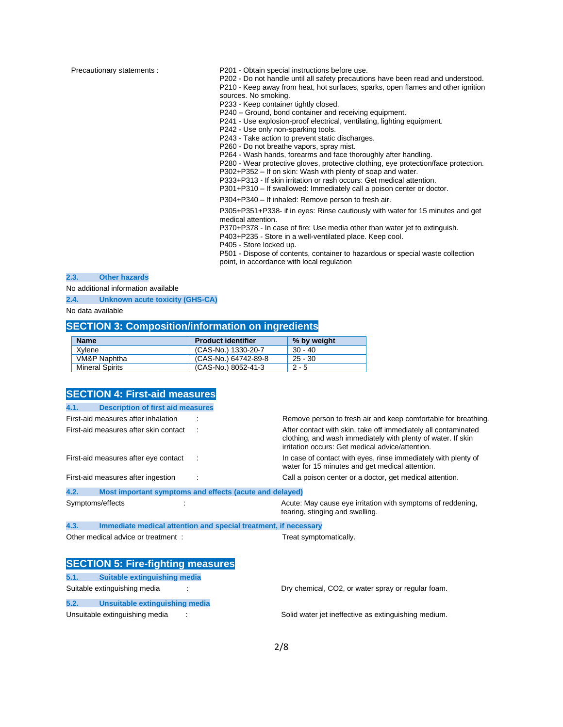Precautionary statements : P201 - Obtain special instructions before use.

P202 - Do not handle until all safety precautions have been read and understood. P210 - Keep away from heat, hot surfaces, sparks, open flames and other ignition sources. No smoking.

P233 - Keep container tightly closed.

P240 – Ground, bond container and receiving equipment.

P241 - Use explosion-proof electrical, ventilating, lighting equipment.

P242 - Use only non-sparking tools.

P243 - Take action to prevent static discharges.

P260 - Do not breathe vapors, spray mist.

P264 - Wash hands, forearms and face thoroughly after handling.

P280 - Wear protective gloves, protective clothing, eye protection/face protection.

P302+P352 – If on skin: Wash with plenty of soap and water.

P333+P313 - If skin irritation or rash occurs: Get medical attention.

P301+P310 – If swallowed: Immediately call a poison center or doctor.

P304+P340 – If inhaled: Remove person to fresh air.

P305+P351+P338- if in eyes: Rinse cautiously with water for 15 minutes and get medical attention.

P370+P378 - In case of fire: Use media other than water jet to extinguish.

P403+P235 - Store in a well-ventilated place. Keep cool.

P405 - Store locked up.

P501 - Dispose of contents, container to hazardous or special waste collection point, in accordance with local regulation

#### **2.3. Other hazards**

No additional information available

**2.4. Unknown acute toxicity (GHS-CA)**

No data available

### **SECTION 3: Composition/information on ingredients**

| <b>Name</b>            | <b>Product identifier</b> | % by weight |
|------------------------|---------------------------|-------------|
| Xvlene                 | (CAS-No.) 1330-20-7       | 30 - 40     |
| VM&P Naphtha           | (CAS-No.) 64742-89-8      | $25 - 30$   |
| <b>Mineral Spirits</b> | (CAS-No.) 8052-41-3       | $2 - 5$     |

| <b>SECTION 4: First-aid measures</b>                                    |                                                                                                                                                                                    |
|-------------------------------------------------------------------------|------------------------------------------------------------------------------------------------------------------------------------------------------------------------------------|
| <b>Description of first aid measures</b><br>4.1.                        |                                                                                                                                                                                    |
| First-aid measures after inhalation                                     | Remove person to fresh air and keep comfortable for breathing.                                                                                                                     |
| First-aid measures after skin contact                                   | After contact with skin, take off immediately all contaminated<br>clothing, and wash immediately with plenty of water. If skin<br>irritation occurs: Get medical advice/attention. |
| First-aid measures after eye contact                                    | In case of contact with eyes, rinse immediately with plenty of<br>water for 15 minutes and get medical attention.                                                                  |
| First-aid measures after ingestion                                      | Call a poison center or a doctor, get medical attention.                                                                                                                           |
| 4.2.<br>Most important symptoms and effects (acute and delayed)         |                                                                                                                                                                                    |
| Symptoms/effects                                                        | Acute: May cause eye irritation with symptoms of reddening,<br>tearing, stinging and swelling.                                                                                     |
| 4.3.<br>Immediate medical attention and special treatment, if necessary |                                                                                                                                                                                    |
| Other medical advice or treatment:                                      | Treat symptomatically.                                                                                                                                                             |
|                                                                         |                                                                                                                                                                                    |
| <b>SECTION 5: Fire-fighting measures</b>                                |                                                                                                                                                                                    |
| Suitable extinguishing media<br>5.1.                                    |                                                                                                                                                                                    |

**5.2. Unsuitable extinguishing media**

Suitable extinguishing media : The Suitable extinguishing media : Dry chemical, CO2, or water spray or regular foam.

Unsuitable extinguishing media : Solid water jet ineffective as extinguishing medium.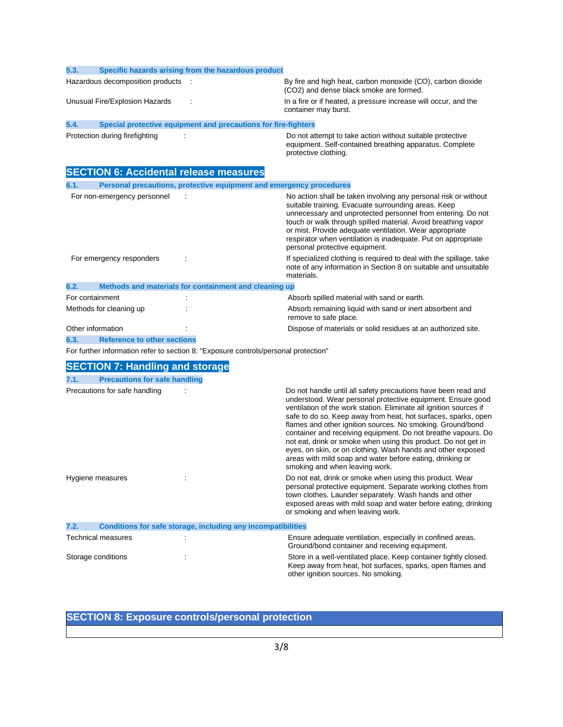| 5.3. |                                        | Specific hazards arising from the hazardous product                                 |                                                                                                                                                                                                                                                                                                                                                                                                                                                                                                                                                                                                                                     |
|------|----------------------------------------|-------------------------------------------------------------------------------------|-------------------------------------------------------------------------------------------------------------------------------------------------------------------------------------------------------------------------------------------------------------------------------------------------------------------------------------------------------------------------------------------------------------------------------------------------------------------------------------------------------------------------------------------------------------------------------------------------------------------------------------|
|      | Hazardous decomposition products       |                                                                                     | By fire and high heat, carbon monoxide (CO), carbon dioxide<br>(CO2) and dense black smoke are formed.                                                                                                                                                                                                                                                                                                                                                                                                                                                                                                                              |
|      | Unusual Fire/Explosion Hazards         |                                                                                     | In a fire or if heated, a pressure increase will occur, and the<br>container may burst.                                                                                                                                                                                                                                                                                                                                                                                                                                                                                                                                             |
| 5.4. |                                        | Special protective equipment and precautions for fire-fighters                      |                                                                                                                                                                                                                                                                                                                                                                                                                                                                                                                                                                                                                                     |
|      | Protection during firefighting         |                                                                                     | Do not attempt to take action without suitable protective<br>equipment. Self-contained breathing apparatus. Complete<br>protective clothing.                                                                                                                                                                                                                                                                                                                                                                                                                                                                                        |
|      |                                        | <b>SECTION 6: Accidental release measures</b>                                       |                                                                                                                                                                                                                                                                                                                                                                                                                                                                                                                                                                                                                                     |
| 6.1. |                                        | Personal precautions, protective equipment and emergency procedures                 |                                                                                                                                                                                                                                                                                                                                                                                                                                                                                                                                                                                                                                     |
|      | For non-emergency personnel            |                                                                                     | No action shall be taken involving any personal risk or without<br>suitable training. Evacuate surrounding areas. Keep<br>unnecessary and unprotected personnel from entering. Do not<br>touch or walk through spilled material. Avoid breathing vapor<br>or mist. Provide adequate ventilation. Wear appropriate<br>respirator when ventilation is inadequate. Put on appropriate<br>personal protective equipment.                                                                                                                                                                                                                |
|      | For emergency responders               |                                                                                     | If specialized clothing is required to deal with the spillage, take<br>note of any information in Section 8 on suitable and unsuitable<br>materials.                                                                                                                                                                                                                                                                                                                                                                                                                                                                                |
| 6.2. |                                        | Methods and materials for containment and cleaning up                               |                                                                                                                                                                                                                                                                                                                                                                                                                                                                                                                                                                                                                                     |
|      | For containment                        |                                                                                     | Absorb spilled material with sand or earth.                                                                                                                                                                                                                                                                                                                                                                                                                                                                                                                                                                                         |
|      | Methods for cleaning up                |                                                                                     | Absorb remaining liquid with sand or inert absorbent and<br>remove to safe place.                                                                                                                                                                                                                                                                                                                                                                                                                                                                                                                                                   |
|      | Other information                      |                                                                                     | Dispose of materials or solid residues at an authorized site.                                                                                                                                                                                                                                                                                                                                                                                                                                                                                                                                                                       |
| 6.3. | <b>Reference to other sections</b>     |                                                                                     |                                                                                                                                                                                                                                                                                                                                                                                                                                                                                                                                                                                                                                     |
|      |                                        | For further information refer to section 8: "Exposure controls/personal protection" |                                                                                                                                                                                                                                                                                                                                                                                                                                                                                                                                                                                                                                     |
|      | <b>SECTION 7: Handling and storage</b> |                                                                                     |                                                                                                                                                                                                                                                                                                                                                                                                                                                                                                                                                                                                                                     |
| 7.1. | <b>Precautions for safe handling</b>   |                                                                                     |                                                                                                                                                                                                                                                                                                                                                                                                                                                                                                                                                                                                                                     |
|      | Precautions for safe handling          |                                                                                     | Do not handle until all safety precautions have been read and<br>understood. Wear personal protective equipment. Ensure good<br>ventilation of the work station. Eliminate all ignition sources if<br>safe to do so. Keep away from heat, hot surfaces, sparks, open<br>flames and other ignition sources. No smoking. Ground/bond<br>container and receiving equipment. Do not breathe vapours. Do<br>not eat, drink or smoke when using this product. Do not get in<br>eyes, on skin, or on clothing. Wash hands and other exposed<br>areas with mild soap and water before eating, drinking or<br>smoking and when leaving work. |
|      | Hygiene measures                       |                                                                                     | Do not eat, drink or smoke when using this product. Wear<br>personal protective equipment. Separate working clothes from<br>town clothes. Launder separately. Wash hands and other<br>exposed areas with mild soap and water before eating, drinking<br>or smoking and when leaving work.                                                                                                                                                                                                                                                                                                                                           |
| 7.2. |                                        | <b>Conditions for safe storage, including any incompatibilities</b>                 |                                                                                                                                                                                                                                                                                                                                                                                                                                                                                                                                                                                                                                     |
|      | <b>Technical measures</b>              |                                                                                     | Ensure adequate ventilation, especially in confined areas.<br>Ground/bond container and receiving equipment.                                                                                                                                                                                                                                                                                                                                                                                                                                                                                                                        |
|      | Storage conditions                     |                                                                                     | Store in a well-ventilated place. Keep container tightly closed.<br>Keep away from heat, hot surfaces, sparks, open flames and<br>other ignition sources. No smoking.                                                                                                                                                                                                                                                                                                                                                                                                                                                               |

# **SECTION 8: Exposure controls/personal protection**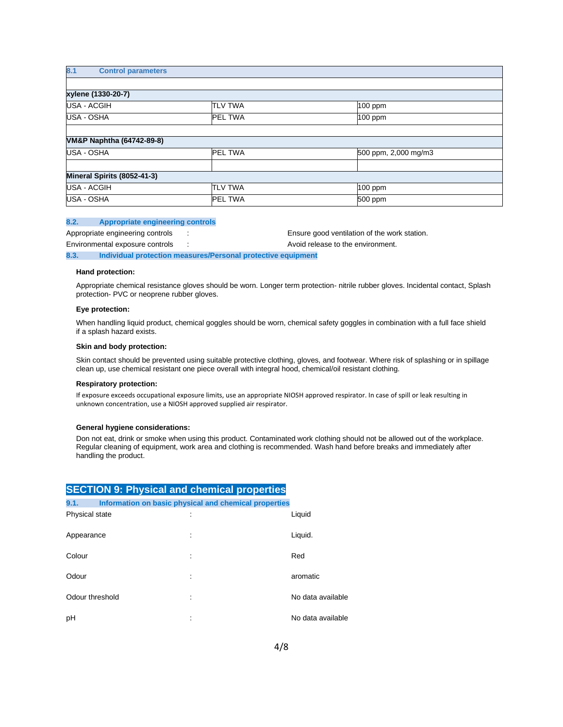| 8.1<br><b>Control parameters</b> |                |                      |
|----------------------------------|----------------|----------------------|
|                                  |                |                      |
| xylene (1330-20-7)               |                |                      |
| <b>USA - ACGIH</b>               | <b>TLV TWA</b> | 100 ppm              |
| USA - OSHA                       | <b>PEL TWA</b> | 100 ppm              |
|                                  |                |                      |
| VM&P Naphtha (64742-89-8)        |                |                      |
| USA - OSHA                       | <b>PEL TWA</b> | 500 ppm, 2,000 mg/m3 |
|                                  |                |                      |
| Mineral Spirits (8052-41-3)      |                |                      |
| <b>USA - ACGIH</b>               | <b>TLV TWA</b> | 100 ppm              |
| <b>USA - OSHA</b>                | <b>PEL TWA</b> | 500 ppm              |

#### **8.2. Appropriate engineering controls**

Appropriate engineering controls : Ensure good ventilation of the work station. Environmental exposure controls : Avoid release to the environment. **8.3. Individual protection measures/Personal protective equipment**

#### **Hand protection:**

Appropriate chemical resistance gloves should be worn. Longer term protection- nitrile rubber gloves. Incidental contact, Splash protection- PVC or neoprene rubber gloves.

#### **Eye protection:**

When handling liquid product, chemical goggles should be worn, chemical safety goggles in combination with a full face shield if a splash hazard exists.

#### **Skin and body protection:**

Skin contact should be prevented using suitable protective clothing, gloves, and footwear. Where risk of splashing or in spillage clean up, use chemical resistant one piece overall with integral hood, chemical/oil resistant clothing.

#### **Respiratory protection:**

If exposure exceeds occupational exposure limits, use an appropriate NIOSH approved respirator. In case of spill or leak resulting in unknown concentration, use a NIOSH approved supplied air respirator.

#### **General hygiene considerations:**

Don not eat, drink or smoke when using this product. Contaminated work clothing should not be allowed out of the workplace. Regular cleaning of equipment, work area and clothing is recommended. Wash hand before breaks and immediately after handling the product.

|                 | <b>SECTION 9: Physical and chemical properties</b>    |                   |
|-----------------|-------------------------------------------------------|-------------------|
| 9.1.            | Information on basic physical and chemical properties |                   |
| Physical state  |                                                       | Liquid            |
| Appearance      |                                                       | Liquid.           |
| Colour          |                                                       | Red               |
| Odour           |                                                       | aromatic          |
| Odour threshold |                                                       | No data available |
| pH              |                                                       | No data available |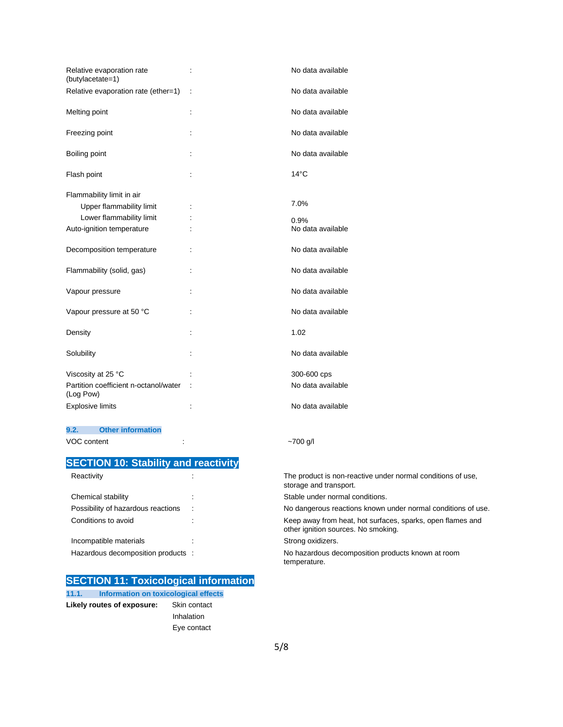| Relative evaporation rate<br>(butylacetate=1)      | t                    | No data available |
|----------------------------------------------------|----------------------|-------------------|
| Relative evaporation rate (ether=1)                | t                    | No data available |
| Melting point                                      | $\ddot{\phantom{a}}$ | No data available |
| Freezing point                                     |                      | No data available |
| Boiling point                                      |                      | No data available |
| Flash point                                        |                      | $14^{\circ}$ C    |
| Flammability limit in air                          |                      |                   |
| Upper flammability limit                           |                      | 7.0%              |
| Lower flammability limit                           |                      | 0.9%              |
| Auto-ignition temperature                          |                      | No data available |
| Decomposition temperature                          | ÷                    | No data available |
| Flammability (solid, gas)                          | ÷                    | No data available |
| Vapour pressure                                    |                      | No data available |
| Vapour pressure at 50 °C                           |                      | No data available |
| Density                                            |                      | 1.02              |
| Solubility                                         | ÷                    | No data available |
| Viscosity at 25 °C                                 |                      | 300-600 cps       |
| Partition coefficient n-octanol/water<br>(Log Pow) |                      | No data available |
| <b>Explosive limits</b>                            | t                    | No data available |

### **9.2. Other information**

VOC content :  $\sim$ 700 g/l

# **SECTION 10: Stability and reactivity**

| Reactivity                         |  |
|------------------------------------|--|
| Chemical stability                 |  |
| Possibility of hazardous reactions |  |
| Conditions to avoid                |  |
|                                    |  |
| Incompatible materials             |  |
| Hazardous decomposition products   |  |

## **SECTION 11: Toxicological information**

**11.1. Information on toxicological effects Likely routes of exposure:** Skin contact

 Inhalation Eye contact The product is non-reactive under normal conditions of use, storage and transport. Stable under normal conditions. No dangerous reactions known under normal conditions of use. Keep away from heat, hot surfaces, sparks, open flames and other ignition sources. No smoking.

Strong oxidizers.

No hazardous decomposition products known at room temperature.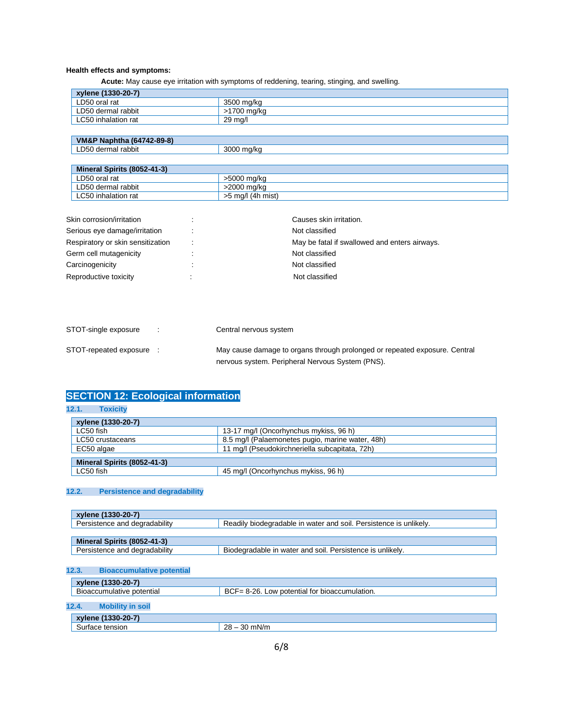### **Health effects and symptoms:**

 **Acute:** May cause eye irritation with symptoms of reddening, tearing, stinging, and swelling.

| xylene (1330-20-7)  |             |
|---------------------|-------------|
| ∟D50 oral rat       | 3500 mg/kg  |
| LD50 dermal rabbit  | >1700 mg/kg |
| LC50 inhalation rat | 29 ma/l     |

| $-89-8)$<br>من ما الك<br>10.1710<br>`Naphtha<br>VM&.<br>$-1041-$ |                   |
|------------------------------------------------------------------|-------------------|
| D <sub>50</sub><br>rabbit<br>≅ma∟.<br>der                        | 3000<br>ma/ka<br> |

| Mineral Spirits (8052-41-3) |                   |
|-----------------------------|-------------------|
| LD50 oral rat               | >5000 ma/ka       |
| LD50 dermal rabbit          | >2000 ma/ka       |
| LC50 inhalation rat         | >5 mg/l (4h mist) |

| Skin corrosion/irritation         | Causes skin irritation.                       |
|-----------------------------------|-----------------------------------------------|
| Serious eye damage/irritation     | Not classified                                |
| Respiratory or skin sensitization | May be fatal if swallowed and enters airways. |
| Germ cell mutagenicity            | Not classified                                |
| Carcinogenicity                   | Not classified                                |
| Reproductive toxicity             | Not classified                                |

| STOT-single exposure   | Central nervous system                                                                                                         |
|------------------------|--------------------------------------------------------------------------------------------------------------------------------|
| STOT-repeated exposure | May cause damage to organs through prolonged or repeated exposure. Central<br>nervous system. Peripheral Nervous System (PNS). |

# **SECTION 12: Ecological information**

### **12.1. Toxicity**

| xylene (1330-20-7)          |                                                  |  |  |
|-----------------------------|--------------------------------------------------|--|--|
| LC50 fish                   | 13-17 mg/l (Oncorhynchus mykiss, 96 h)           |  |  |
| LC50 crustaceans            | 8.5 mg/l (Palaemonetes pugio, marine water, 48h) |  |  |
| EC50 algae                  | 11 mg/l (Pseudokirchneriella subcapitata, 72h)   |  |  |
|                             |                                                  |  |  |
| Mineral Spirits (8052-41-3) |                                                  |  |  |
| LC50 fish                   | 45 mg/l (Oncorhynchus mykiss, 96 h)              |  |  |

## **12.2. Persistence and degradability**

| Persistence and degradability<br>Readily biodegradable in water and soil. Persistence is unlikely. |  |
|----------------------------------------------------------------------------------------------------|--|
|                                                                                                    |  |
|                                                                                                    |  |
| Biodegradable in water and soil. Persistence is unlikely.                                          |  |
|                                                                                                    |  |

### **12.3. Bioaccumulative potential**

| xylene (1330-20-7)               |                                               |
|----------------------------------|-----------------------------------------------|
| Bioaccumulative potential        | BCF= 8-26. Low potential for bioaccumulation. |
|                                  |                                               |
| 12.4.<br><b>Mobility in soil</b> |                                               |
| xylene (1330-20-7)               |                                               |
| Surface tension                  | $28 - 30$ mN/m                                |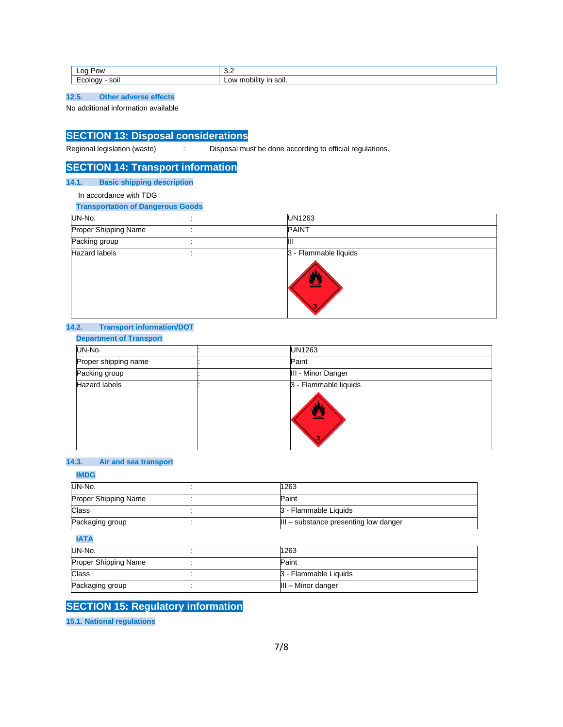| LOC <sup>1</sup><br>ייס <sup>∕</sup> | v.L   |
|--------------------------------------|-------|
| -                                    |       |
| soi                                  | ີ     |
| $- - -$                              | וונ   |
| $\cdot$ $\cdot$                      | SUII. |

**12.5. Other adverse effects**

No additional information available

# **SECTION 13: Disposal considerations**

Regional legislation (waste) : Disposal must be done according to official regulations.

# **SECTION 14: Transport information**

### **14.1. Basic shipping description**

In accordance with TDG

**Transportation of Dangerous Goods**

| UN-No.               | UN1263                     |
|----------------------|----------------------------|
| Proper Shipping Name | <b>PAINT</b>               |
| Packing group        |                            |
| <b>Hazard labels</b> | 3 - Flammable liquids<br>R |

#### **14.2. Transport information/DOT**

### **Department of Transport**

| UN-No.               | UN1263                          |
|----------------------|---------------------------------|
| Proper shipping name | Paint                           |
| Packing group        | III - Minor Danger              |
| <b>Hazard labels</b> | 3 - Flammable liquids<br>Æ<br>з |

### **14.3. Air and sea transport**

### **IMDG**

| UN-No.               | 1263                                              |
|----------------------|---------------------------------------------------|
| Proper Shipping Name | Paint                                             |
| <b>Class</b>         | 3 - Flammable Liquids                             |
| Packaging group      | $\parallel$ III – substance presenting low danger |

### **IATA**

| UN-No.                      | 1263                  |
|-----------------------------|-----------------------|
| <b>Proper Shipping Name</b> | Paint                 |
| Class                       | 3 - Flammable Liquids |
| Packaging group             | III - Minor danger    |

# **SECTION 15: Regulatory information**

**15.1. National regulations**